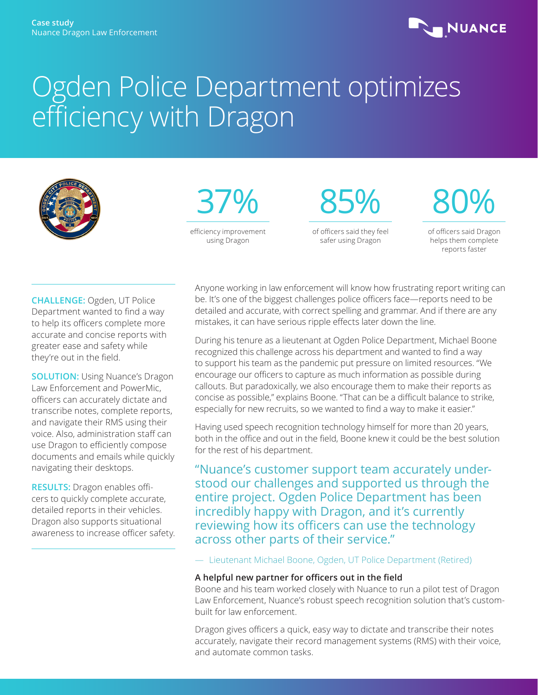

# Ogden Police Department optimizes efficiency with Dragon





85%

of officers said they feel safer using Dragon

80%

of officers said Dragon helps them complete reports faster

**CHALLENGE:** Ogden, UT Police Department wanted to find a way to help its officers complete more accurate and concise reports with greater ease and safety while they're out in the field.

**SOLUTION:** Using Nuance's Dragon Law Enforcement and PowerMic, officers can accurately dictate and transcribe notes, complete reports, and navigate their RMS using their voice. Also, administration staff can use Dragon to efficiently compose documents and emails while quickly navigating their desktops.

**RESULTS:** Dragon enables officers to quickly complete accurate, detailed reports in their vehicles. Dragon also supports situational awareness to increase officer safety. Anyone working in law enforcement will know how frustrating report writing can be. It's one of the biggest challenges police officers face—reports need to be detailed and accurate, with correct spelling and grammar. And if there are any mistakes, it can have serious ripple effects later down the line.

During his tenure as a lieutenant at Ogden Police Department, Michael Boone recognized this challenge across his department and wanted to find a way to support his team as the pandemic put pressure on limited resources. "We encourage our officers to capture as much information as possible during callouts. But paradoxically, we also encourage them to make their reports as concise as possible," explains Boone. "That can be a difficult balance to strike, especially for new recruits, so we wanted to find a way to make it easier."

Having used speech recognition technology himself for more than 20 years, both in the office and out in the field, Boone knew it could be the best solution for the rest of his department.

"Nuance's customer support team accurately understood our challenges and supported us through the entire project. Ogden Police Department has been incredibly happy with Dragon, and it's currently reviewing how its officers can use the technology across other parts of their service."

— Lieutenant Michael Boone, Ogden, UT Police Department (Retired)

## **A helpful new partner for officers out in the field**

Boone and his team worked closely with Nuance to run a pilot test of Dragon Law Enforcement, Nuance's robust speech recognition solution that's custombuilt for law enforcement.

Dragon gives officers a quick, easy way to dictate and transcribe their notes accurately, navigate their record management systems (RMS) with their voice, and automate common tasks.